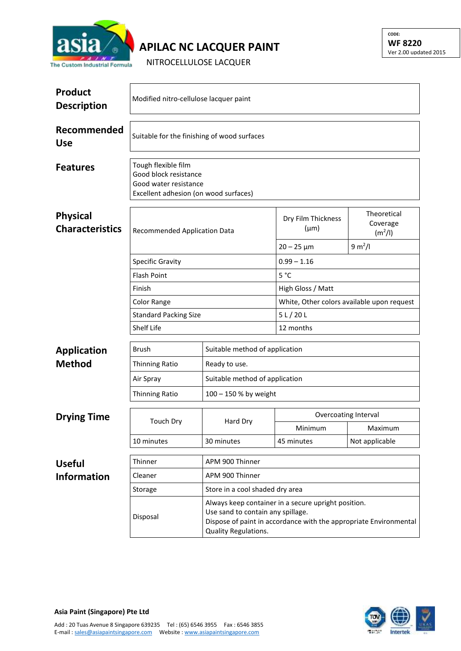

## **APILAC NC LACQUER PAINT**

NITROCELLULOSE LACQUER

| <b>Product</b><br><b>Description</b>      | Modified nitro-cellulose lacquer paint                                                                         |                                                                                                                                                                                       |                                            |                                                |  |  |
|-------------------------------------------|----------------------------------------------------------------------------------------------------------------|---------------------------------------------------------------------------------------------------------------------------------------------------------------------------------------|--------------------------------------------|------------------------------------------------|--|--|
| Recommended<br><b>Use</b>                 | Suitable for the finishing of wood surfaces                                                                    |                                                                                                                                                                                       |                                            |                                                |  |  |
| <b>Features</b>                           | Tough flexible film<br>Good block resistance<br>Good water resistance<br>Excellent adhesion (on wood surfaces) |                                                                                                                                                                                       |                                            |                                                |  |  |
| <b>Physical</b><br><b>Characteristics</b> | Recommended Application Data                                                                                   |                                                                                                                                                                                       | Dry Film Thickness<br>$(\mu m)$            | Theoretical<br>Coverage<br>(m <sup>2</sup> /I) |  |  |
|                                           |                                                                                                                |                                                                                                                                                                                       | $20 - 25 \,\mu m$                          | 9 m <sup>2</sup> /I                            |  |  |
|                                           | <b>Specific Gravity</b>                                                                                        |                                                                                                                                                                                       | $0.99 - 1.16$                              |                                                |  |  |
|                                           | <b>Flash Point</b>                                                                                             |                                                                                                                                                                                       | $5^{\circ}$ C                              |                                                |  |  |
|                                           | Finish                                                                                                         |                                                                                                                                                                                       | High Gloss / Matt                          |                                                |  |  |
|                                           | Color Range                                                                                                    |                                                                                                                                                                                       | White, Other colors available upon request |                                                |  |  |
|                                           | <b>Standard Packing Size</b>                                                                                   |                                                                                                                                                                                       | 5 L / 20 L                                 |                                                |  |  |
|                                           | Shelf Life                                                                                                     |                                                                                                                                                                                       | 12 months                                  |                                                |  |  |
| <b>Application</b>                        | Brush                                                                                                          | Suitable method of application                                                                                                                                                        |                                            |                                                |  |  |
| <b>Method</b>                             | Thinning Ratio                                                                                                 | Ready to use.                                                                                                                                                                         |                                            |                                                |  |  |
|                                           | Air Spray                                                                                                      | Suitable method of application                                                                                                                                                        |                                            |                                                |  |  |
|                                           | <b>Thinning Ratio</b>                                                                                          | 100 - 150 % by weight                                                                                                                                                                 |                                            |                                                |  |  |
|                                           |                                                                                                                |                                                                                                                                                                                       | Overcoating Interval                       |                                                |  |  |
| <b>Drying Time</b>                        | <b>Touch Dry</b>                                                                                               | Hard Dry                                                                                                                                                                              | Minimum                                    | Maximum                                        |  |  |
|                                           | 10 minutes                                                                                                     | 30 minutes                                                                                                                                                                            | 45 minutes                                 | Not applicable                                 |  |  |
|                                           |                                                                                                                |                                                                                                                                                                                       |                                            |                                                |  |  |
| <b>Useful</b>                             | Thinner                                                                                                        | APM 900 Thinner                                                                                                                                                                       |                                            |                                                |  |  |
| <b>Information</b>                        | Cleaner                                                                                                        | APM 900 Thinner                                                                                                                                                                       |                                            |                                                |  |  |
|                                           | Storage                                                                                                        | Store in a cool shaded dry area                                                                                                                                                       |                                            |                                                |  |  |
|                                           | Disposal                                                                                                       | Always keep container in a secure upright position.<br>Use sand to contain any spillage.<br>Dispose of paint in accordance with the appropriate Environmental<br>Quality Regulations. |                                            |                                                |  |  |